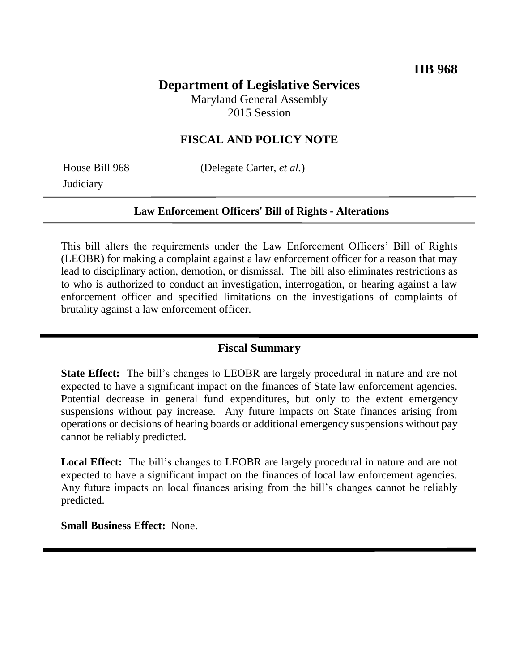# **Department of Legislative Services**

Maryland General Assembly 2015 Session

### **FISCAL AND POLICY NOTE**

**Judiciary** 

House Bill 968 (Delegate Carter, *et al.*)

#### **Law Enforcement Officers' Bill of Rights - Alterations**

This bill alters the requirements under the Law Enforcement Officers' Bill of Rights (LEOBR) for making a complaint against a law enforcement officer for a reason that may lead to disciplinary action, demotion, or dismissal. The bill also eliminates restrictions as to who is authorized to conduct an investigation, interrogation, or hearing against a law enforcement officer and specified limitations on the investigations of complaints of brutality against a law enforcement officer.

### **Fiscal Summary**

**State Effect:** The bill's changes to LEOBR are largely procedural in nature and are not expected to have a significant impact on the finances of State law enforcement agencies. Potential decrease in general fund expenditures, but only to the extent emergency suspensions without pay increase. Any future impacts on State finances arising from operations or decisions of hearing boards or additional emergency suspensions without pay cannot be reliably predicted.

**Local Effect:** The bill's changes to LEOBR are largely procedural in nature and are not expected to have a significant impact on the finances of local law enforcement agencies. Any future impacts on local finances arising from the bill's changes cannot be reliably predicted.

**Small Business Effect:** None.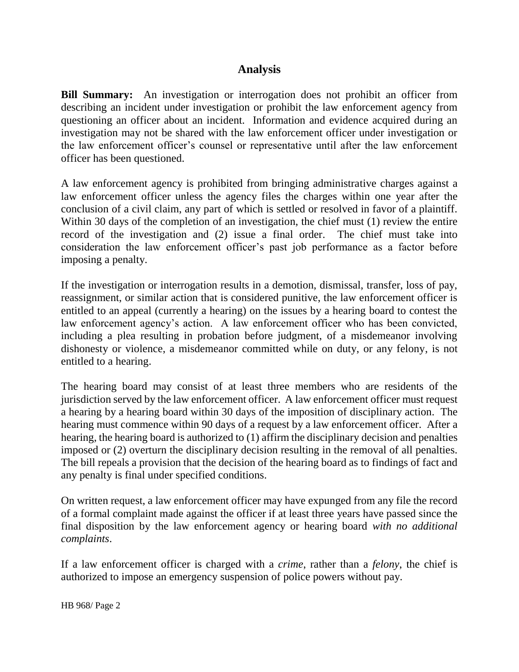## **Analysis**

**Bill Summary:** An investigation or interrogation does not prohibit an officer from describing an incident under investigation or prohibit the law enforcement agency from questioning an officer about an incident. Information and evidence acquired during an investigation may not be shared with the law enforcement officer under investigation or the law enforcement officer's counsel or representative until after the law enforcement officer has been questioned.

A law enforcement agency is prohibited from bringing administrative charges against a law enforcement officer unless the agency files the charges within one year after the conclusion of a civil claim, any part of which is settled or resolved in favor of a plaintiff. Within 30 days of the completion of an investigation, the chief must (1) review the entire record of the investigation and (2) issue a final order. The chief must take into consideration the law enforcement officer's past job performance as a factor before imposing a penalty.

If the investigation or interrogation results in a demotion, dismissal, transfer, loss of pay, reassignment, or similar action that is considered punitive, the law enforcement officer is entitled to an appeal (currently a hearing) on the issues by a hearing board to contest the law enforcement agency's action. A law enforcement officer who has been convicted, including a plea resulting in probation before judgment, of a misdemeanor involving dishonesty or violence, a misdemeanor committed while on duty, or any felony, is not entitled to a hearing.

The hearing board may consist of at least three members who are residents of the jurisdiction served by the law enforcement officer. A law enforcement officer must request a hearing by a hearing board within 30 days of the imposition of disciplinary action. The hearing must commence within 90 days of a request by a law enforcement officer. After a hearing, the hearing board is authorized to (1) affirm the disciplinary decision and penalties imposed or (2) overturn the disciplinary decision resulting in the removal of all penalties. The bill repeals a provision that the decision of the hearing board as to findings of fact and any penalty is final under specified conditions.

On written request, a law enforcement officer may have expunged from any file the record of a formal complaint made against the officer if at least three years have passed since the final disposition by the law enforcement agency or hearing board *with no additional complaints*.

If a law enforcement officer is charged with a *crime*, rather than a *felony*, the chief is authorized to impose an emergency suspension of police powers without pay.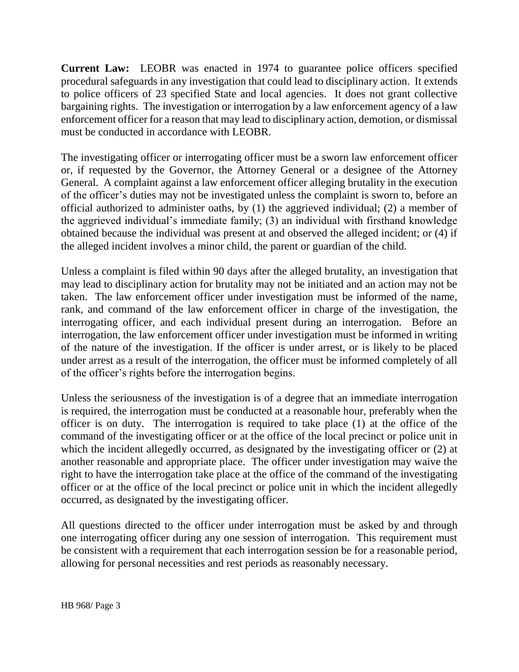**Current Law:** LEOBR was enacted in 1974 to guarantee police officers specified procedural safeguards in any investigation that could lead to disciplinary action. It extends to police officers of 23 specified State and local agencies. It does not grant collective bargaining rights. The investigation or interrogation by a law enforcement agency of a law enforcement officer for a reason that may lead to disciplinary action, demotion, or dismissal must be conducted in accordance with LEOBR.

The investigating officer or interrogating officer must be a sworn law enforcement officer or, if requested by the Governor, the Attorney General or a designee of the Attorney General. A complaint against a law enforcement officer alleging brutality in the execution of the officer's duties may not be investigated unless the complaint is sworn to, before an official authorized to administer oaths, by (1) the aggrieved individual; (2) a member of the aggrieved individual's immediate family; (3) an individual with firsthand knowledge obtained because the individual was present at and observed the alleged incident; or (4) if the alleged incident involves a minor child, the parent or guardian of the child.

Unless a complaint is filed within 90 days after the alleged brutality, an investigation that may lead to disciplinary action for brutality may not be initiated and an action may not be taken. The law enforcement officer under investigation must be informed of the name, rank, and command of the law enforcement officer in charge of the investigation, the interrogating officer, and each individual present during an interrogation. Before an interrogation, the law enforcement officer under investigation must be informed in writing of the nature of the investigation. If the officer is under arrest, or is likely to be placed under arrest as a result of the interrogation, the officer must be informed completely of all of the officer's rights before the interrogation begins.

Unless the seriousness of the investigation is of a degree that an immediate interrogation is required, the interrogation must be conducted at a reasonable hour, preferably when the officer is on duty. The interrogation is required to take place (1) at the office of the command of the investigating officer or at the office of the local precinct or police unit in which the incident allegedly occurred, as designated by the investigating officer or (2) at another reasonable and appropriate place. The officer under investigation may waive the right to have the interrogation take place at the office of the command of the investigating officer or at the office of the local precinct or police unit in which the incident allegedly occurred, as designated by the investigating officer.

All questions directed to the officer under interrogation must be asked by and through one interrogating officer during any one session of interrogation. This requirement must be consistent with a requirement that each interrogation session be for a reasonable period, allowing for personal necessities and rest periods as reasonably necessary.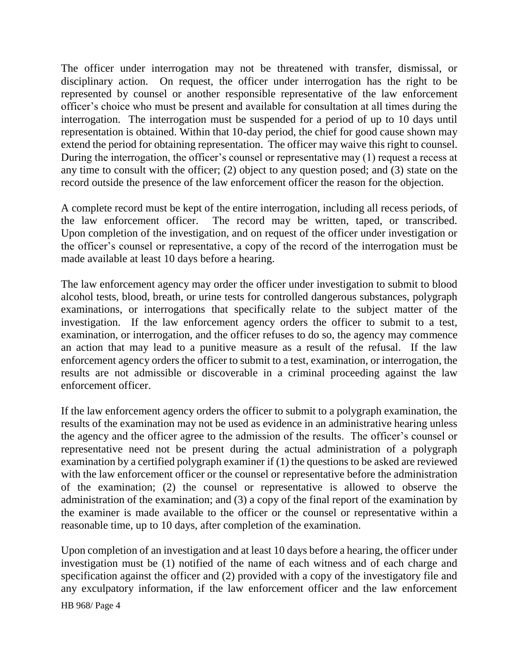The officer under interrogation may not be threatened with transfer, dismissal, or disciplinary action. On request, the officer under interrogation has the right to be represented by counsel or another responsible representative of the law enforcement officer's choice who must be present and available for consultation at all times during the interrogation. The interrogation must be suspended for a period of up to 10 days until representation is obtained. Within that 10-day period, the chief for good cause shown may extend the period for obtaining representation. The officer may waive this right to counsel. During the interrogation, the officer's counsel or representative may (1) request a recess at any time to consult with the officer; (2) object to any question posed; and (3) state on the record outside the presence of the law enforcement officer the reason for the objection.

A complete record must be kept of the entire interrogation, including all recess periods, of the law enforcement officer. The record may be written, taped, or transcribed. Upon completion of the investigation, and on request of the officer under investigation or the officer's counsel or representative, a copy of the record of the interrogation must be made available at least 10 days before a hearing.

The law enforcement agency may order the officer under investigation to submit to blood alcohol tests, blood, breath, or urine tests for controlled dangerous substances, polygraph examinations, or interrogations that specifically relate to the subject matter of the investigation. If the law enforcement agency orders the officer to submit to a test, examination, or interrogation, and the officer refuses to do so, the agency may commence an action that may lead to a punitive measure as a result of the refusal. If the law enforcement agency orders the officer to submit to a test, examination, or interrogation, the results are not admissible or discoverable in a criminal proceeding against the law enforcement officer.

If the law enforcement agency orders the officer to submit to a polygraph examination, the results of the examination may not be used as evidence in an administrative hearing unless the agency and the officer agree to the admission of the results. The officer's counsel or representative need not be present during the actual administration of a polygraph examination by a certified polygraph examiner if (1) the questions to be asked are reviewed with the law enforcement officer or the counsel or representative before the administration of the examination; (2) the counsel or representative is allowed to observe the administration of the examination; and (3) a copy of the final report of the examination by the examiner is made available to the officer or the counsel or representative within a reasonable time, up to 10 days, after completion of the examination.

Upon completion of an investigation and at least 10 days before a hearing, the officer under investigation must be (1) notified of the name of each witness and of each charge and specification against the officer and (2) provided with a copy of the investigatory file and any exculpatory information, if the law enforcement officer and the law enforcement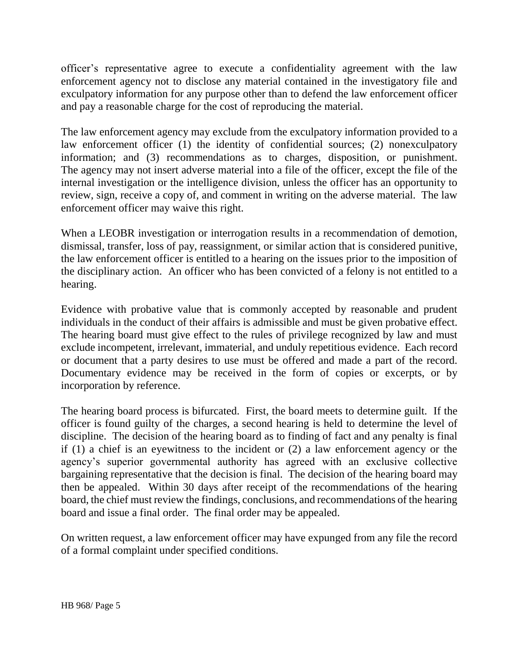officer's representative agree to execute a confidentiality agreement with the law enforcement agency not to disclose any material contained in the investigatory file and exculpatory information for any purpose other than to defend the law enforcement officer and pay a reasonable charge for the cost of reproducing the material.

The law enforcement agency may exclude from the exculpatory information provided to a law enforcement officer (1) the identity of confidential sources; (2) nonexculpatory information; and (3) recommendations as to charges, disposition, or punishment. The agency may not insert adverse material into a file of the officer, except the file of the internal investigation or the intelligence division, unless the officer has an opportunity to review, sign, receive a copy of, and comment in writing on the adverse material. The law enforcement officer may waive this right.

When a LEOBR investigation or interrogation results in a recommendation of demotion, dismissal, transfer, loss of pay, reassignment, or similar action that is considered punitive, the law enforcement officer is entitled to a hearing on the issues prior to the imposition of the disciplinary action. An officer who has been convicted of a felony is not entitled to a hearing.

Evidence with probative value that is commonly accepted by reasonable and prudent individuals in the conduct of their affairs is admissible and must be given probative effect. The hearing board must give effect to the rules of privilege recognized by law and must exclude incompetent, irrelevant, immaterial, and unduly repetitious evidence. Each record or document that a party desires to use must be offered and made a part of the record. Documentary evidence may be received in the form of copies or excerpts, or by incorporation by reference.

The hearing board process is bifurcated. First, the board meets to determine guilt. If the officer is found guilty of the charges, a second hearing is held to determine the level of discipline. The decision of the hearing board as to finding of fact and any penalty is final if (1) a chief is an eyewitness to the incident or (2) a law enforcement agency or the agency's superior governmental authority has agreed with an exclusive collective bargaining representative that the decision is final. The decision of the hearing board may then be appealed. Within 30 days after receipt of the recommendations of the hearing board, the chief must review the findings, conclusions, and recommendations of the hearing board and issue a final order. The final order may be appealed.

On written request, a law enforcement officer may have expunged from any file the record of a formal complaint under specified conditions.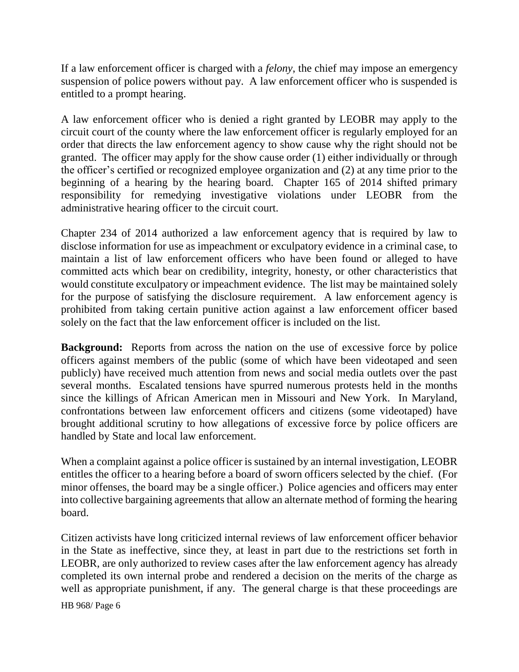If a law enforcement officer is charged with a *felony*, the chief may impose an emergency suspension of police powers without pay. A law enforcement officer who is suspended is entitled to a prompt hearing.

A law enforcement officer who is denied a right granted by LEOBR may apply to the circuit court of the county where the law enforcement officer is regularly employed for an order that directs the law enforcement agency to show cause why the right should not be granted. The officer may apply for the show cause order (1) either individually or through the officer's certified or recognized employee organization and (2) at any time prior to the beginning of a hearing by the hearing board. Chapter 165 of 2014 shifted primary responsibility for remedying investigative violations under LEOBR from the administrative hearing officer to the circuit court.

Chapter 234 of 2014 authorized a law enforcement agency that is required by law to disclose information for use as impeachment or exculpatory evidence in a criminal case, to maintain a list of law enforcement officers who have been found or alleged to have committed acts which bear on credibility, integrity, honesty, or other characteristics that would constitute exculpatory or impeachment evidence. The list may be maintained solely for the purpose of satisfying the disclosure requirement. A law enforcement agency is prohibited from taking certain punitive action against a law enforcement officer based solely on the fact that the law enforcement officer is included on the list.

**Background:** Reports from across the nation on the use of excessive force by police officers against members of the public (some of which have been videotaped and seen publicly) have received much attention from news and social media outlets over the past several months. Escalated tensions have spurred numerous protests held in the months since the killings of African American men in Missouri and New York. In Maryland, confrontations between law enforcement officers and citizens (some videotaped) have brought additional scrutiny to how allegations of excessive force by police officers are handled by State and local law enforcement.

When a complaint against a police officer is sustained by an internal investigation, LEOBR entitles the officer to a hearing before a board of sworn officers selected by the chief. (For minor offenses, the board may be a single officer.) Police agencies and officers may enter into collective bargaining agreements that allow an alternate method of forming the hearing board.

Citizen activists have long criticized internal reviews of law enforcement officer behavior in the State as ineffective, since they, at least in part due to the restrictions set forth in LEOBR, are only authorized to review cases after the law enforcement agency has already completed its own internal probe and rendered a decision on the merits of the charge as well as appropriate punishment, if any. The general charge is that these proceedings are